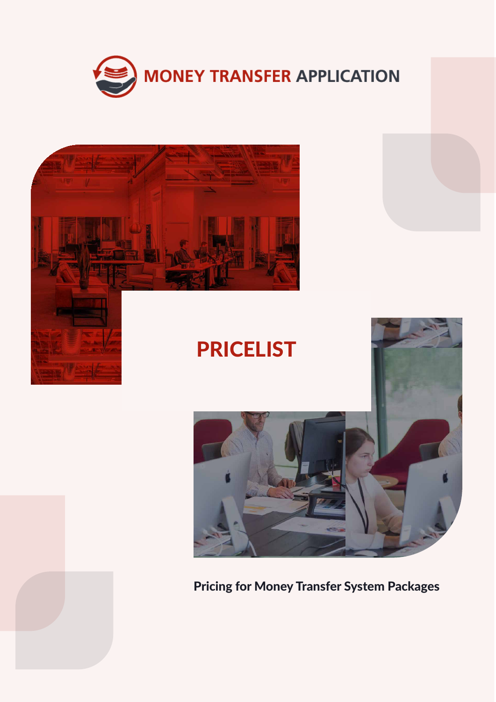





## Pricing for Money Transfer System Packages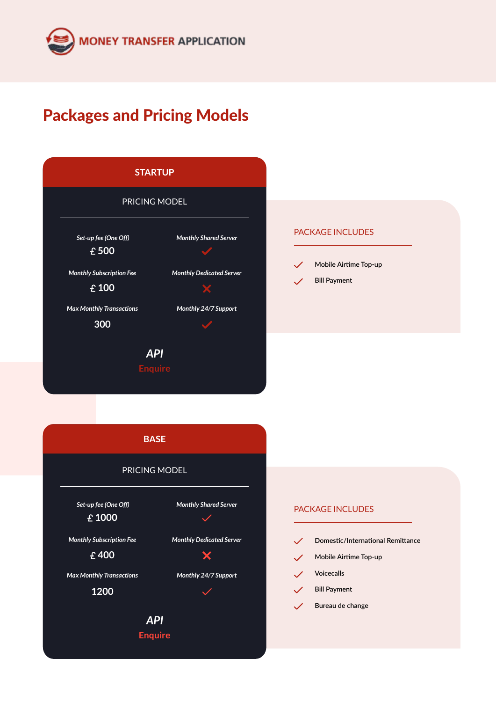

# Packages and Pricing Models

| <b>STARTUP</b>                                    |                                 |  |
|---------------------------------------------------|---------------------------------|--|
|                                                   | PRICING MODEL                   |  |
| Set-up fee (One Off)<br>$\overline{\text{£}}$ 500 | <b>Monthly Shared Server</b>    |  |
| <b>Monthly Subscription Fee</b><br>£100           | <b>Monthly Dedicated Server</b> |  |
| <b>Max Monthly Transactions</b><br>300            | Monthly 24/7 Support            |  |
|                                                   | API<br>Enquire                  |  |

#### PACKAGE INCLUDES



**Bill Payment**

**BASE**

### PRICING MODEL

 *Set-up fee (One Off)* **1000**

*Monthly Subscription Fee*

**400**

*Max Monthly Transactions*

**1200**

*Monthly Shared Server*  $\overline{\mathscr{S}}$ 



*Monthly 24/7 Support*

 $\overline{\phantom{a}}$ 

*API* **Enquire**

#### PACKAGE INCLUDES

 $\checkmark$ **Domestic/International Remittance Mobile Airtime Top-up**  $\mathscr{S}$  $\checkmark$ **Voicecalls Bill Payment**  $\checkmark$ **Bureau de change**  $\checkmark$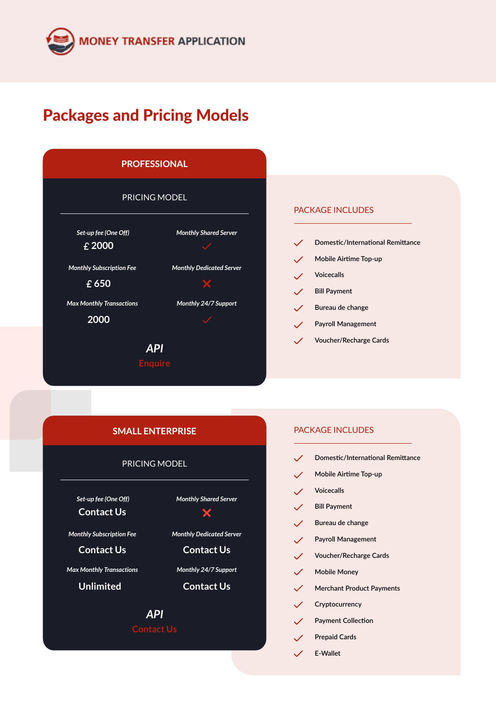# Packages and Pricing Models



#### PACKAGE INCLUDES

- **Domestic/International Remittance**
- **Mobile Airtime Top-up**  $\checkmark$
- **Voicecalls**  $\mathcal{L}$
- **Bill Payment**  $\mathcal{L}$
- $\checkmark$ **Bureau de change**
- **Payroll Management**  $\mathscr{S}$
- **Voucher/Recharge Cards**  $\overline{\mathscr{L}}$

#### **SMALL ENTERPRISE**

#### PRICING MODEL

 *Set-up fee (One Off)* **Contact Us**

*Monthly Subscription Fee*

**Contact Us**

*Max Monthly Transactions*

**Unlimited**

*Monthly Shared Server*

 $\bm{\times}$ 

*Monthly Dedicated Server*

**Contact Us**

*Monthly 24/7 Support*

**Contact Us**

# *API*

#### PACKAGE INCLUDES

- **Domestic/International Remittance**
- **Mobile Airtime Top-up**  $\checkmark$
- **Voicecalls**  $\mathcal{L}$
- **Bill Payment**  $\mathscr{S}$
- $\checkmark$ **Bureau de change**
- **Payroll Management**  $\checkmark$
- $\checkmark$ **Voucher/Recharge Cards**
- **Mobile Money**  $\mathscr{S}$
- $\checkmark$ **Merchant Product Payments**
- $\mathscr{S}$ **Cryptocurrency**
- $\checkmark$ **Payment Collection**
- **Prepaid Cards**  $\mathcal{L}$ 
	- **E-Wallet**